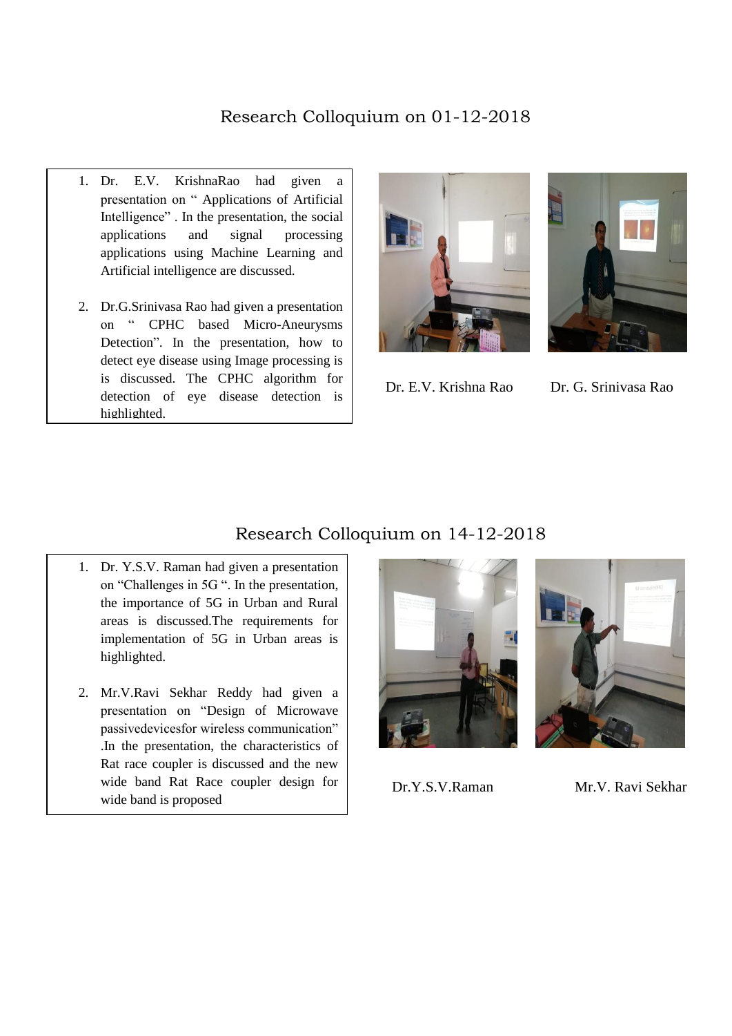## Research Colloquium on 01-12-2018

- 1. Dr. E.V. KrishnaRao had given a presentation on " Applications of Artificial Intelligence" . In the presentation, the social applications and signal processing applications using Machine Learning and Artificial intelligence are discussed.
- 2. Dr.G.Srinivasa Rao had given a presentation on " CPHC based Micro-Aneurysms Detection". In the presentation, how to detect eye disease using Image processing is is discussed. The CPHC algorithm for detection of eye disease detection is highlighted.





Dr. E.V. Krishna Rao Dr. G. Srinivasa Rao

## Research Colloquium on 14-12-2018

- 1. Dr. Y.S.V. Raman had given a presentation on "Challenges in 5G ". In the presentation, the importance of 5G in Urban and Rural areas is discussed.The requirements for implementation of 5G in Urban areas is highlighted.
- 2. Mr.V.Ravi Sekhar Reddy had given a presentation on "Design of Microwave passivedevicesfor wireless communication" .In the presentation, the characteristics of Rat race coupler is discussed and the new wide band Rat Race coupler design for wide band is proposed



Dr.Y.S.V.Raman Mr.V. Ravi Sekhar